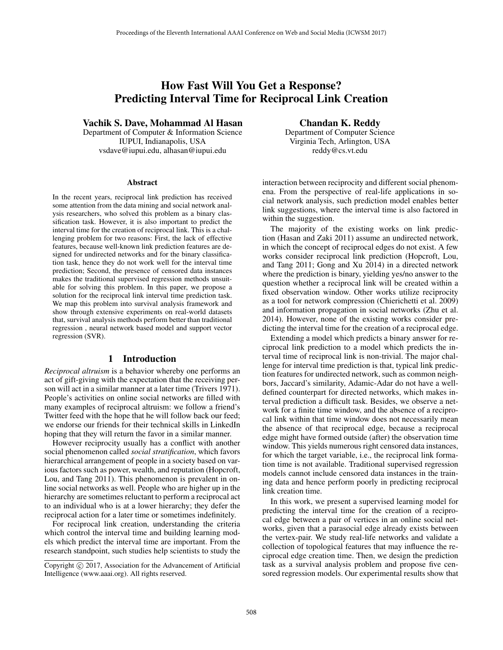# How Fast Will You Get a Response? Predicting Interval Time for Reciprocal Link Creation

Vachik S. Dave, Mohammad Al Hasan

Department of Computer & Information Science IUPUI, Indianapolis, USA vsdave@iupui.edu, alhasan@iupui.edu

#### Abstract

In the recent years, reciprocal link prediction has received some attention from the data mining and social network analysis researchers, who solved this problem as a binary classification task. However, it is also important to predict the interval time for the creation of reciprocal link. This is a challenging problem for two reasons: First, the lack of effective features, because well-known link prediction features are designed for undirected networks and for the binary classification task, hence they do not work well for the interval time prediction; Second, the presence of censored data instances makes the traditional supervised regression methods unsuitable for solving this problem. In this paper, we propose a solution for the reciprocal link interval time prediction task. We map this problem into survival analysis framework and show through extensive experiments on real-world datasets that, survival analysis methods perform better than traditional regression , neural network based model and support vector regression (SVR).

## 1 Introduction

*Reciprocal altruism* is a behavior whereby one performs an act of gift-giving with the expectation that the receiving person will act in a similar manner at a later time (Trivers 1971). People's activities on online social networks are filled with many examples of reciprocal altruism: we follow a friend's Twitter feed with the hope that he will follow back our feed; we endorse our friends for their technical skills in LinkedIn hoping that they will return the favor in a similar manner.

However reciprocity usually has a conflict with another social phenomenon called *social stratification*, which favors hierarchical arrangement of people in a society based on various factors such as power, wealth, and reputation (Hopcroft, Lou, and Tang 2011). This phenomenon is prevalent in online social networks as well. People who are higher up in the hierarchy are sometimes reluctant to perform a reciprocal act to an individual who is at a lower hierarchy; they defer the reciprocal action for a later time or sometimes indefinitely.

For reciprocal link creation, understanding the criteria which control the interval time and building learning models which predict the interval time are important. From the research standpoint, such studies help scientists to study the

Chandan K. Reddy Department of Computer Science Virginia Tech, Arlington, USA reddy@cs.vt.edu

interaction between reciprocity and different social phenomena. From the perspective of real-life applications in social network analysis, such prediction model enables better link suggestions, where the interval time is also factored in within the suggestion.

The majority of the existing works on link prediction (Hasan and Zaki 2011) assume an undirected network, in which the concept of reciprocal edges do not exist. A few works consider reciprocal link prediction (Hopcroft, Lou, and Tang 2011; Gong and Xu 2014) in a directed network where the prediction is binary, yielding yes/no answer to the question whether a reciprocal link will be created within a fixed observation window. Other works utilize reciprocity as a tool for network compression (Chierichetti et al. 2009) and information propagation in social networks (Zhu et al. 2014). However, none of the existing works consider predicting the interval time for the creation of a reciprocal edge.

Extending a model which predicts a binary answer for reciprocal link prediction to a model which predicts the interval time of reciprocal link is non-trivial. The major challenge for interval time prediction is that, typical link prediction features for undirected network, such as common neighbors, Jaccard's similarity, Adamic-Adar do not have a welldefined counterpart for directed networks, which makes interval prediction a difficult task. Besides, we observe a network for a finite time window, and the absence of a reciprocal link within that time window does not necessarily mean the absence of that reciprocal edge, because a reciprocal edge might have formed outside (after) the observation time window. This yields numerous right censored data instances, for which the target variable, i.e., the reciprocal link formation time is not available. Traditional supervised regression models cannot include censored data instances in the training data and hence perform poorly in predicting reciprocal link creation time.

In this work, we present a supervised learning model for predicting the interval time for the creation of a reciprocal edge between a pair of vertices in an online social networks, given that a parasocial edge already exists between the vertex-pair. We study real-life networks and validate a collection of topological features that may influence the reciprocal edge creation time. Then, we design the prediction task as a survival analysis problem and propose five censored regression models. Our experimental results show that

Copyright  $\odot$  2017, Association for the Advancement of Artificial Intelligence (www.aaai.org). All rights reserved.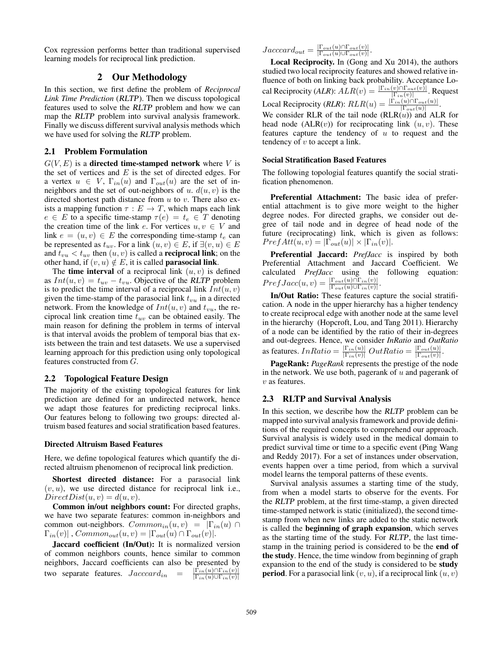Cox regression performs better than traditional supervised learning models for reciprocal link prediction.

#### 2 Our Methodology

In this section, we first define the problem of *Reciprocal Link Time Prediction* (RLTP). Then we discuss topological features used to solve the RLTP problem and how we can map the RLTP problem into survival analysis framework. Finally we discuss different survival analysis methods which we have used for solving the RLTP problem.

## 2.1 Problem Formulation

 $G(V, E)$  is a **directed time-stamped network** where V is the set of vertices and  $E$  is the set of directed edges. For a vertex  $u \in V$ ,  $\Gamma_{in}(u)$  and  $\Gamma_{out}(u)$  are the set of inneighbors and the set of out-neighbors of u.  $d(u, v)$  is the directed shortest path distance from  $u$  to  $v$ . There also exists a mapping function  $\tau : E \to T$ , which maps each link  $e \in E$  to a specific time-stamp  $\tau(e) = t_e \in T$  denoting the creation time of the link e. For vertices  $u, v \in V$  and link  $e = (u, v) \in E$  the corresponding time-stamp  $t_e$  can be represented as  $t_{uv}$ . For a link  $(u, v) \in E$ , if  $\exists (v, u) \in E$ and  $t_{vu} < t_{uv}$  then  $(u, v)$  is called a **reciprocal link**; on the other hand, if  $(v, u) \notin E$ , it is called **parasocial link**.

The **time interval** of a reciprocal link  $(u, v)$  is defined as  $Int(u, v) = t_{uv} - t_{vu}$ . Objective of the RLTP problem is to predict the time interval of a reciprocal link  $Int(u, v)$ given the time-stamp of the parasocial link  $t_{vu}$  in a directed network. From the knowledge of  $Int(u, v)$  and  $t_{vu}$ , the reciprocal link creation time  $t_{uv}$  can be obtained easily. The main reason for defining the problem in terms of interval is that interval avoids the problem of temporal bias that exists between the train and test datasets. We use a supervised learning approach for this prediction using only topological features constructed from G.

#### 2.2 Topological Feature Design

The majority of the existing topological features for link prediction are defined for an undirected network, hence we adapt those features for predicting reciprocal links. Our features belong to following two groups: directed altruism based features and social stratification based features.

#### Directed Altruism Based Features

Here, we define topological features which quantify the directed altruism phenomenon of reciprocal link prediction.

Shortest directed distance: For a parasocial link  $(v, u)$ , we use directed distance for reciprocal link i.e.,  $DirectDist(u, v) = d(u, v).$ 

Common in/out neighbors count: For directed graphs, we have two separate features: common in-neighbors and common out-neighbors.  $Common_{in}(u, v) = |\Gamma_{in}(u)| \cap$  $\Gamma_{in}(v)$ ,  $Common_{out}(u, v) = |\Gamma_{out}(u) \cap \Gamma_{out}(v)|$ .

Jaccard coefficient (In/Out): It is normalized version of common neighbors counts, hence similar to common neighbors, Jaccard coefficients can also be presented by two separate features.  $Jacccard_{in} = \frac{|\Gamma_{in}(u) \cap \Gamma_{in}(v)|}{|\Gamma_{in}(u) \cup \Gamma_{in}(v)|}$ 

 $Jacccard_{out} = \frac{|\Gamma_{out}(u) \cap \Gamma_{out}(v)|}{|\Gamma_{out}(u) \cup \Gamma_{out}(v)|}.$ 

Local Reciprocity. In (Gong and Xu 2014), the authors studied two local reciprocity features and showed relative influence of both on linking back probability. Acceptance Local Reciprocity (*ALR*):  $ALR(v) = \frac{|\Gamma_{in}(v) \cap \Gamma_{out}(v)|}{|\Gamma_{in}(v)|}$ . Request Local Reciprocity  $(RLR)$ :  $RLR(u) = \frac{|\Gamma_{in}(u) \cap \Gamma_{out}(u)|}{|\Gamma_{out}(u)|}$ .

We consider RLR of the tail node  $(RLR(u))$  and ALR for head node  $(ALR(v))$  for reciprocating link  $(u, v)$ . These features capture the tendency of  $u$  to request and the tendency of  $v$  to accept a link.

#### Social Stratification Based Features

The following topologial features quantify the social stratification phenomenon.

Preferential Attachment: The basic idea of preferential attachment is to give more weight to the higher degree nodes. For directed graphs, we consider out degree of tail node and in degree of head node of the future (reciprocating) link, which is given as follows:  $PrefAtt(u, v) = |\Gamma_{out}(u)| \times |\Gamma_{in}(v)|.$ 

Preferential Jaccard: *PrefJacc* is inspired by both Preferential Attachment and Jaccard Coefficient. We calculated *PrefJacc* using the following equation:  $PrefJacc(u, v) = \frac{|\Gamma_{out}(u) \cap \Gamma_{in}(v)|}{|\Gamma_{out}(u) \cup \Gamma_{in}(v)|}.$ 

In/Out Ratio: These features capture the social stratification. A node in the upper hierarchy has a higher tendency to create reciprocal edge with another node at the same level in the hierarchy (Hopcroft, Lou, and Tang 2011). Hierarchy of a node can be identified by the ratio of their in-degrees and out-degrees. Hence, we consider *InRatio* and *OutRatio* as features.  $InRatio = \frac{|\Gamma_{in}(u)|}{|\Gamma_{in}(v)|} OutRatio = \frac{|\Gamma_{out}(u)|}{|\Gamma_{out}(v)|}$ .

PageRank: *PageRank* represents the prestige of the node in the network. We use both, pagerank of  $u$  and pagerank of v as features.

#### 2.3 RLTP and Survival Analysis

In this section, we describe how the RLTP problem can be mapped into survival analysis framework and provide definitions of the required concepts to comprehend our approach. Survival analysis is widely used in the medical domain to predict survival time or time to a specific event (Ping Wang and Reddy 2017). For a set of instances under observation, events happen over a time period, from which a survival model learns the temporal patterns of these events.

Survival analysis assumes a starting time of the study, from when a model starts to observe for the events. For the RLTP problem, at the first time-stamp, a given directed time-stamped network is static (initialized), the second timestamp from when new links are added to the static network is called the beginning of graph expansion, which serves as the starting time of the study. For RLTP, the last timestamp in the training period is considered to be the end of the study. Hence, the time window from beginning of graph expansion to the end of the study is considered to be study **period.** For a parasocial link  $(v, u)$ , if a reciprocal link  $(u, v)$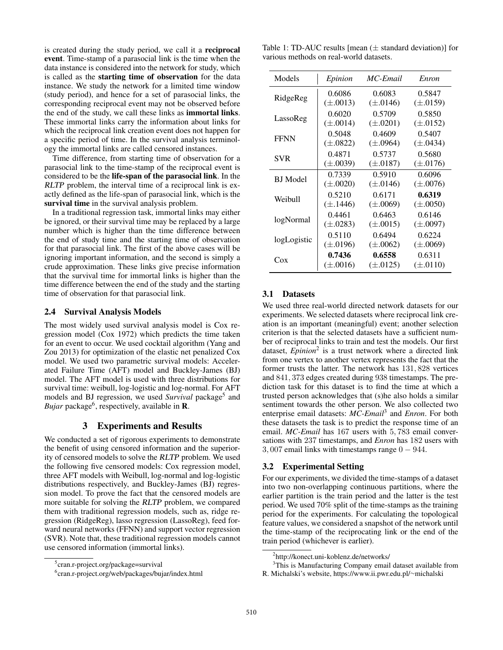is created during the study period, we call it a reciprocal event. Time-stamp of a parasocial link is the time when the data instance is considered into the network for study, which is called as the starting time of observation for the data instance. We study the network for a limited time window (study period), and hence for a set of parasocial links, the corresponding reciprocal event may not be observed before the end of the study, we call these links as immortal links. These immortal links carry the information about links for which the reciprocal link creation event does not happen for a specific period of time. In the survival analysis terminology the immortal links are called censored instances.

Time difference, from starting time of observation for a parasocial link to the time-stamp of the reciprocal event is considered to be the life-span of the parasocial link. In the RLTP problem, the interval time of a reciprocal link is exactly defined as the life-span of parasocial link, which is the survival time in the survival analysis problem.

In a traditional regression task, immortal links may either be ignored, or their survival time may be replaced by a large number which is higher than the time difference between the end of study time and the starting time of observation for that parasocial link. The first of the above cases will be ignoring important information, and the second is simply a crude approximation. These links give precise information that the survival time for immortal links is higher than the time difference between the end of the study and the starting time of observation for that parasocial link.

#### 2.4 Survival Analysis Models

The most widely used survival analysis model is Cox regression model (Cox 1972) which predicts the time taken for an event to occur. We used cocktail algorithm (Yang and Zou 2013) for optimization of the elastic net penalized Cox model. We used two parametric survival models: Accelerated Failure Time (AFT) model and Buckley-James (BJ) model. The AFT model is used with three distributions for survival time: weibull, log-logistic and log-normal. For AFT models and BJ regression, we used *Survival* package<sup>5</sup> and *Bujar* package<sup>6</sup>, respectively, available in **R**.

# 3 Experiments and Results

We conducted a set of rigorous experiments to demonstrate the benefit of using censored information and the superiority of censored models to solve the RLTP problem. We used the following five censored models: Cox regression model, three AFT models with Weibull, log-normal and log-logistic distributions respectively, and Buckley-James (BJ) regression model. To prove the fact that the censored models are more suitable for solving the RLTP problem, we compared them with traditional regression models, such as, ridge regression (RidgeReg), lasso regression (LassoReg), feed forward neural networks (FFNN) and support vector regression (SVR). Note that, these traditional regression models cannot use censored information (immortal links).

Table 1: TD-AUC results [mean  $(\pm$  standard deviation)] for various methods on real-world datasets.

| Models          | Epinion       | MC-Email      | Enron         |
|-----------------|---------------|---------------|---------------|
| RidgeReg        | 0.6086        | 0.6083        | 0.5847        |
|                 | $(\pm .0013)$ | $(\pm .0146)$ | $(\pm .0159)$ |
| LassoReg        | 0.6020        | 0.5709        | 0.5850        |
|                 | $(\pm .0014)$ | $(\pm .0201)$ | $(\pm .0152)$ |
| <b>FFNN</b>     | 0.5048        | 0.4609        | 0.5407        |
|                 | $(\pm .0822)$ | $(\pm .0964)$ | $(\pm .0434)$ |
| <b>SVR</b>      | 0.4871        | 0.5737        | 0.5680        |
|                 | $(\pm .0039)$ | $(\pm .0187)$ | $(\pm .0176)$ |
| <b>BJ</b> Model | 0.7339        | 0.5910        | 0.6096        |
|                 | $(\pm .0020)$ | $(\pm .0146)$ | $(\pm .0076)$ |
| Weibull         | 0.5210        | 0.6171        | 0.6319        |
|                 | $(\pm .1446)$ | $(\pm .0069)$ | $(\pm .0050)$ |
| logNormal       | 0.4461        | 0.6463        | 0.6146        |
|                 | $(\pm .0283)$ | $(\pm .0015)$ | $(\pm .0097)$ |
| logLogistic     | 0.5110        | 0.6494        | 0.6224        |
|                 | $(\pm .0196)$ | $(\pm .0062)$ | $(\pm .0069)$ |
| Cox             | 0.7436        | 0.6558        | 0.6311        |
|                 | $(\pm .0016)$ | $(\pm .0125)$ | $(\pm .0110)$ |

# 3.1 Datasets

We used three real-world directed network datasets for our experiments. We selected datasets where reciprocal link creation is an important (meaningful) event; another selection criterion is that the selected datasets have a sufficient number of reciprocal links to train and test the models. Our first dataset, *Epinion*<sup>2</sup> is a trust network where a directed link from one vertex to another vertex represents the fact that the former trusts the latter. The network has 131, 828 vertices and 841, 373 edges created during 938 timestamps. The prediction task for this dataset is to find the time at which a trusted person acknowledges that (s)he also holds a similar sentiment towards the other person. We also collected two enterprise email datasets: *MC-Email*<sup>3</sup> and *Enron*. For both these datasets the task is to predict the response time of an email. *MC-Email* has 167 users with 5, 783 email conversations with 237 timestamps, and *Enron* has 182 users with 3, 007 email links with timestamps range  $0 - 944$ .

### 3.2 Experimental Setting

For our experiments, we divided the time-stamps of a dataset into two non-overlapping continuous partitions, where the earlier partition is the train period and the latter is the test period. We used 70% split of the time-stamps as the training period for the experiments. For calculating the topological feature values, we considered a snapshot of the network until the time-stamp of the reciprocating link or the end of the train period (whichever is earlier).

<sup>5</sup> cran.r-project.org/package=survival

<sup>6</sup> cran.r-project.org/web/packages/bujar/index.html

<sup>2</sup> http://konect.uni-koblenz.de/networks/

<sup>&</sup>lt;sup>3</sup>This is Manufacturing Company email dataset available from R. Michalski's website, https://www.ii.pwr.edu.pl/∼michalski